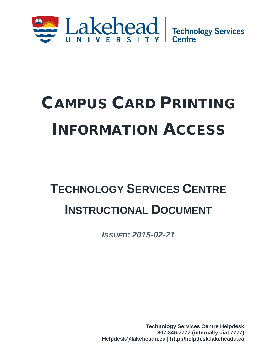

# CAMPUS CARD PRINTING INFORMATION ACCESS

## **TECHNOLOGY SERVICES CENTRE INSTRUCTIONAL DOCUMENT**

*ISSUED: 2015-02-21*

**Technology Services Centre Helpdesk 807.346.7777 (internally dial 7777) Helpdesk@lakeheadu.ca | http://helpdesk.lakeheadu.ca**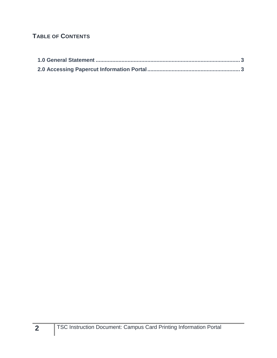### **TABLE OF CONTENTS**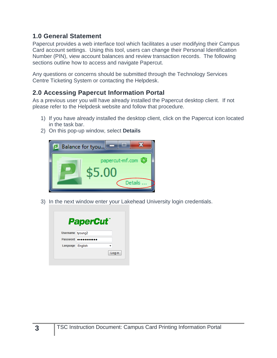#### <span id="page-2-0"></span>**1.0 General Statement**

Papercut provides a web interface tool which facilitates a user modifying their Campus Card account settings. Using this tool, users can change their Personal Identification Number (PIN), view account balances and review transaction records. The following sections outline how to access and navigate Papercut.

Any questions or concerns should be submitted through the Technology Services Centre Ticketing System or contacting the Helpdesk.

### <span id="page-2-1"></span>**2.0 Accessing Papercut Information Portal**

As a previous user you will have already installed the Papercut desktop client. If not please refer to the Helpdesk website and follow that procedure.

- 1) If you have already installed the desktop client, click on the Papercut icon located in the task bar.
- 2) On this pop-up window, select **Details**



3) In the next window enter your Lakehead University login credentials.